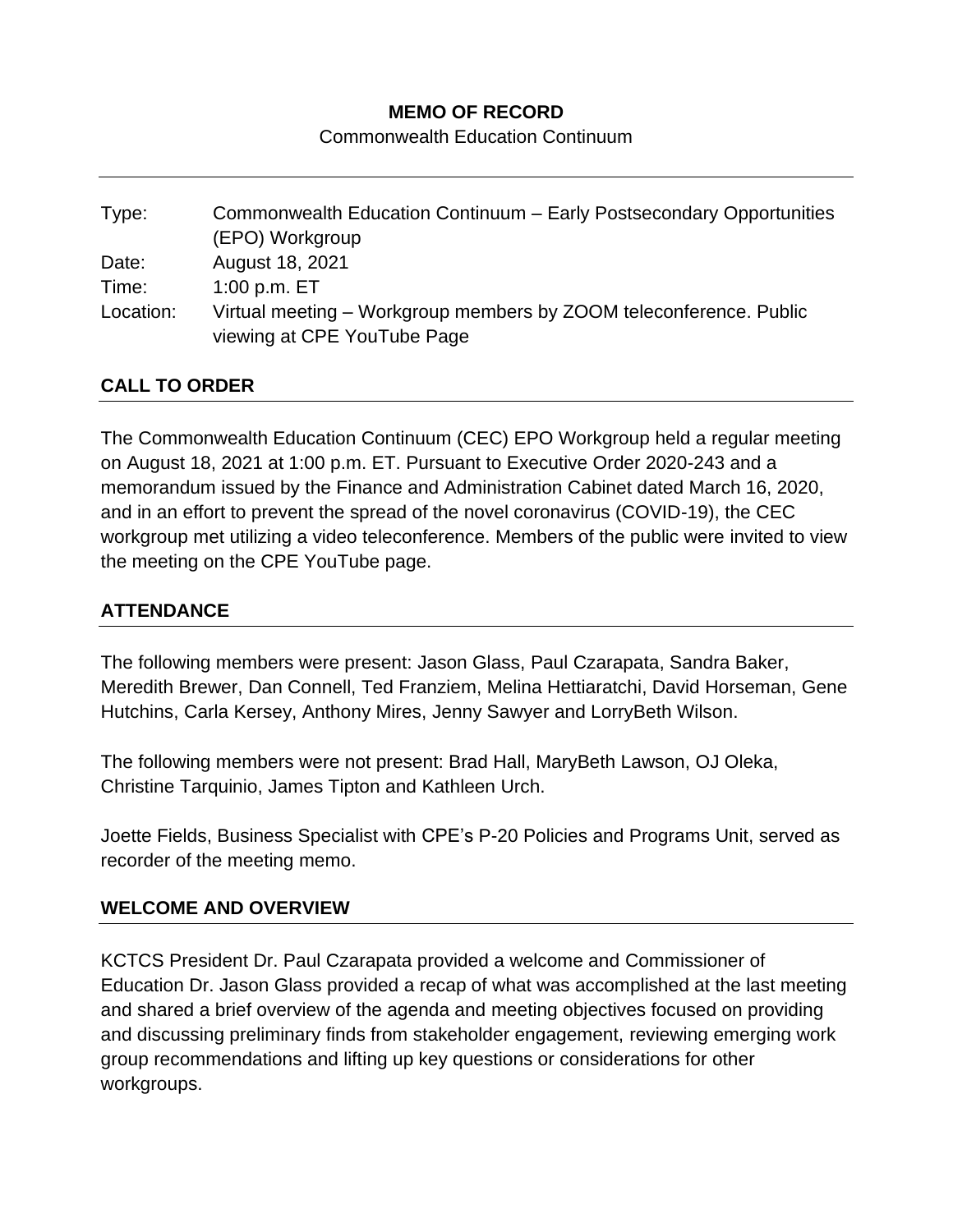## **MEMO OF RECORD**

Commonwealth Education Continuum

| Type:     | Commonwealth Education Continuum - Early Postsecondary Opportunities |
|-----------|----------------------------------------------------------------------|
|           | (EPO) Workgroup                                                      |
| Date:     | August 18, 2021                                                      |
| Time:     | 1:00 p.m. $ET$                                                       |
| Location: | Virtual meeting – Workgroup members by ZOOM teleconference. Public   |
|           | viewing at CPE YouTube Page                                          |

#### **CALL TO ORDER**

The Commonwealth Education Continuum (CEC) EPO Workgroup held a regular meeting on August 18, 2021 at 1:00 p.m. ET. Pursuant to Executive Order 2020-243 and a memorandum issued by the Finance and Administration Cabinet dated March 16, 2020, and in an effort to prevent the spread of the novel coronavirus (COVID-19), the CEC workgroup met utilizing a video teleconference. Members of the public were invited to view the meeting on the CPE YouTube page.

## **ATTENDANCE**

The following members were present: Jason Glass, Paul Czarapata, Sandra Baker, Meredith Brewer, Dan Connell, Ted Franziem, Melina Hettiaratchi, David Horseman, Gene Hutchins, Carla Kersey, Anthony Mires, Jenny Sawyer and LorryBeth Wilson.

The following members were not present: Brad Hall, MaryBeth Lawson, OJ Oleka, Christine Tarquinio, James Tipton and Kathleen Urch.

Joette Fields, Business Specialist with CPE's P-20 Policies and Programs Unit, served as recorder of the meeting memo.

#### **WELCOME AND OVERVIEW**

KCTCS President Dr. Paul Czarapata provided a welcome and Commissioner of Education Dr. Jason Glass provided a recap of what was accomplished at the last meeting and shared a brief overview of the agenda and meeting objectives focused on providing and discussing preliminary finds from stakeholder engagement, reviewing emerging work group recommendations and lifting up key questions or considerations for other workgroups.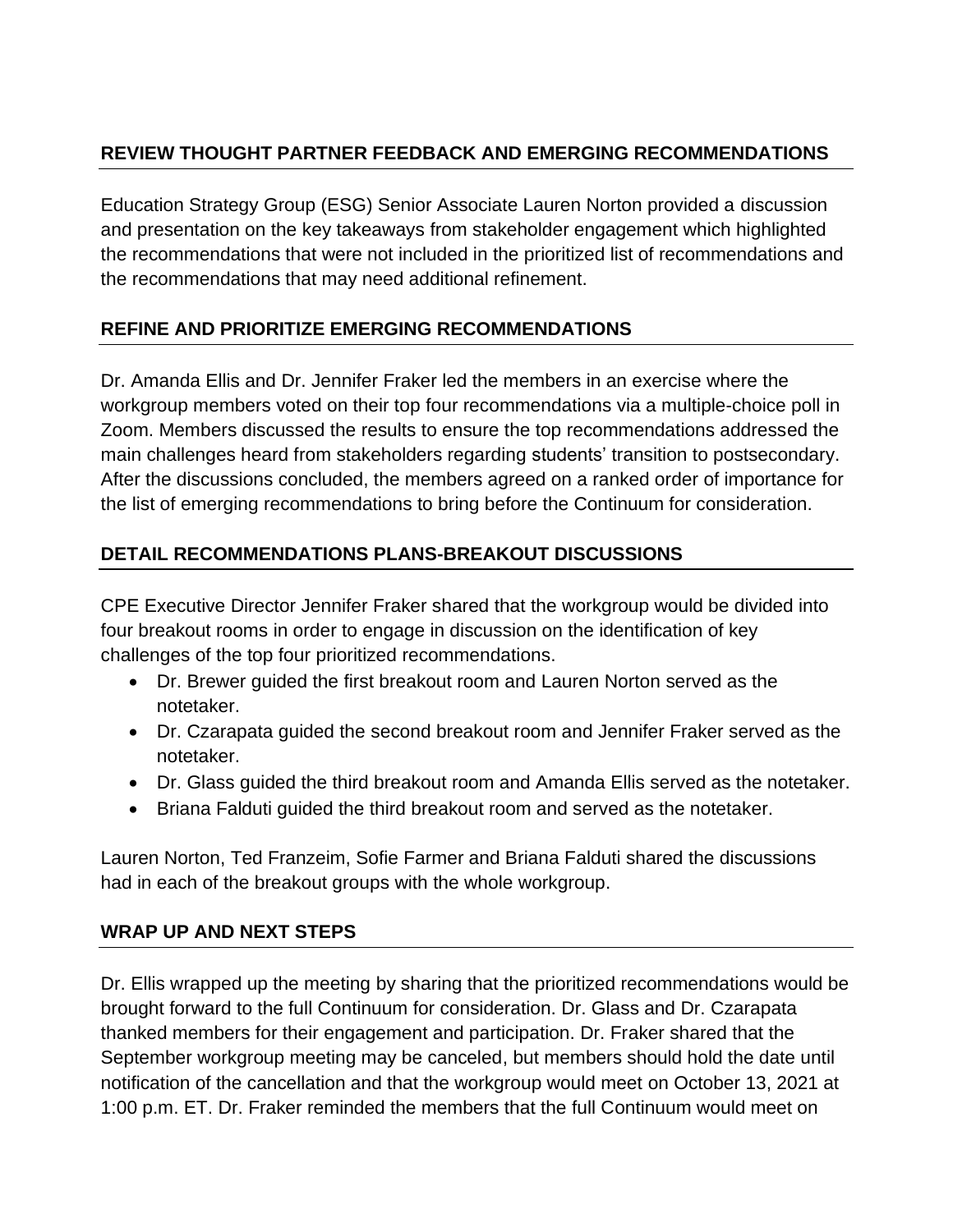# **REVIEW THOUGHT PARTNER FEEDBACK AND EMERGING RECOMMENDATIONS**

Education Strategy Group (ESG) Senior Associate Lauren Norton provided a discussion and presentation on the key takeaways from stakeholder engagement which highlighted the recommendations that were not included in the prioritized list of recommendations and the recommendations that may need additional refinement.

## **REFINE AND PRIORITIZE EMERGING RECOMMENDATIONS**

Dr. Amanda Ellis and Dr. Jennifer Fraker led the members in an exercise where the workgroup members voted on their top four recommendations via a multiple-choice poll in Zoom. Members discussed the results to ensure the top recommendations addressed the main challenges heard from stakeholders regarding students' transition to postsecondary. After the discussions concluded, the members agreed on a ranked order of importance for the list of emerging recommendations to bring before the Continuum for consideration.

# **DETAIL RECOMMENDATIONS PLANS-BREAKOUT DISCUSSIONS**

CPE Executive Director Jennifer Fraker shared that the workgroup would be divided into four breakout rooms in order to engage in discussion on the identification of key challenges of the top four prioritized recommendations.

- Dr. Brewer guided the first breakout room and Lauren Norton served as the notetaker.
- Dr. Czarapata guided the second breakout room and Jennifer Fraker served as the notetaker.
- Dr. Glass guided the third breakout room and Amanda Ellis served as the notetaker.
- Briana Falduti guided the third breakout room and served as the notetaker.

Lauren Norton, Ted Franzeim, Sofie Farmer and Briana Falduti shared the discussions had in each of the breakout groups with the whole workgroup.

## **WRAP UP AND NEXT STEPS**

Dr. Ellis wrapped up the meeting by sharing that the prioritized recommendations would be brought forward to the full Continuum for consideration. Dr. Glass and Dr. Czarapata thanked members for their engagement and participation. Dr. Fraker shared that the September workgroup meeting may be canceled, but members should hold the date until notification of the cancellation and that the workgroup would meet on October 13, 2021 at 1:00 p.m. ET. Dr. Fraker reminded the members that the full Continuum would meet on